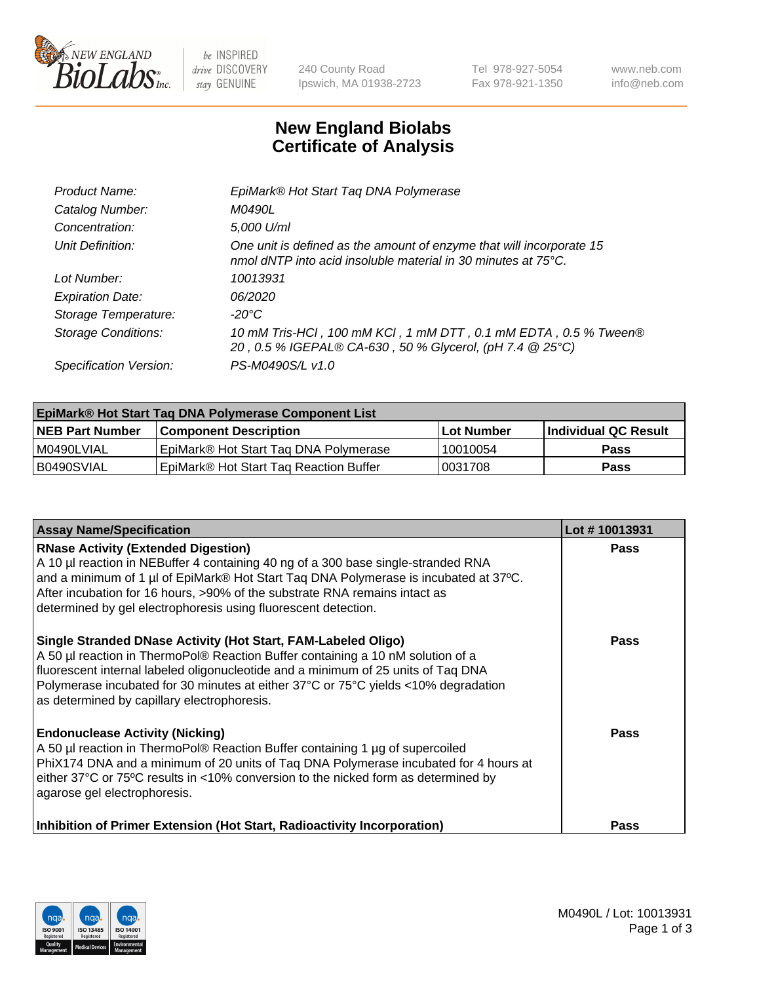

 $be$  INSPIRED drive DISCOVERY stay GENUINE

240 County Road Ipswich, MA 01938-2723 Tel 978-927-5054 Fax 978-921-1350 www.neb.com info@neb.com

## **New England Biolabs Certificate of Analysis**

| Product Name:              | EpiMark® Hot Start Tag DNA Polymerase                                                                                                 |
|----------------------------|---------------------------------------------------------------------------------------------------------------------------------------|
| Catalog Number:            | M0490L                                                                                                                                |
| Concentration:             | 5,000 U/ml                                                                                                                            |
| Unit Definition:           | One unit is defined as the amount of enzyme that will incorporate 15<br>nmol dNTP into acid insoluble material in 30 minutes at 75°C. |
| Lot Number:                | 10013931                                                                                                                              |
| <b>Expiration Date:</b>    | 06/2020                                                                                                                               |
| Storage Temperature:       | $-20^{\circ}$ C                                                                                                                       |
| <b>Storage Conditions:</b> | 10 mM Tris-HCl, 100 mM KCl, 1 mM DTT, 0.1 mM EDTA, 0.5 % Tween®<br>20, 0.5 % IGEPAL® CA-630, 50 % Glycerol, (pH 7.4 @ 25°C)           |
| Specification Version:     | PS-M0490S/L v1.0                                                                                                                      |

| EpiMark® Hot Start Taq DNA Polymerase Component List |                                        |            |                      |  |
|------------------------------------------------------|----------------------------------------|------------|----------------------|--|
| <b>NEB Part Number</b>                               | <b>Component Description</b>           | Lot Number | Individual QC Result |  |
| I M0490LVIAL                                         | EpiMark® Hot Start Tag DNA Polymerase  | 10010054   | <b>Pass</b>          |  |
| B0490SVIAL                                           | EpiMark® Hot Start Tag Reaction Buffer | 0031708    | Pass                 |  |

| <b>Assay Name/Specification</b>                                                                                                                                                                                                                                                                                                                                            | Lot #10013931 |
|----------------------------------------------------------------------------------------------------------------------------------------------------------------------------------------------------------------------------------------------------------------------------------------------------------------------------------------------------------------------------|---------------|
| <b>RNase Activity (Extended Digestion)</b><br>A 10 µl reaction in NEBuffer 4 containing 40 ng of a 300 base single-stranded RNA<br>and a minimum of 1 µl of EpiMark® Hot Start Taq DNA Polymerase is incubated at 37°C.<br>After incubation for 16 hours, >90% of the substrate RNA remains intact as<br>determined by gel electrophoresis using fluorescent detection.    | Pass          |
| Single Stranded DNase Activity (Hot Start, FAM-Labeled Oligo)<br>A 50 µl reaction in ThermoPol® Reaction Buffer containing a 10 nM solution of a<br>fluorescent internal labeled oligonucleotide and a minimum of 25 units of Taq DNA<br>Polymerase incubated for 30 minutes at either 37°C or 75°C yields <10% degradation<br>as determined by capillary electrophoresis. | Pass          |
| <b>Endonuclease Activity (Nicking)</b><br>A 50 µl reaction in ThermoPol® Reaction Buffer containing 1 µg of supercoiled<br>PhiX174 DNA and a minimum of 20 units of Taq DNA Polymerase incubated for 4 hours at<br>either 37°C or 75°C results in <10% conversion to the nicked form as determined by<br>agarose gel electrophoresis.                                      | <b>Pass</b>   |
| Inhibition of Primer Extension (Hot Start, Radioactivity Incorporation)                                                                                                                                                                                                                                                                                                    | Pass          |

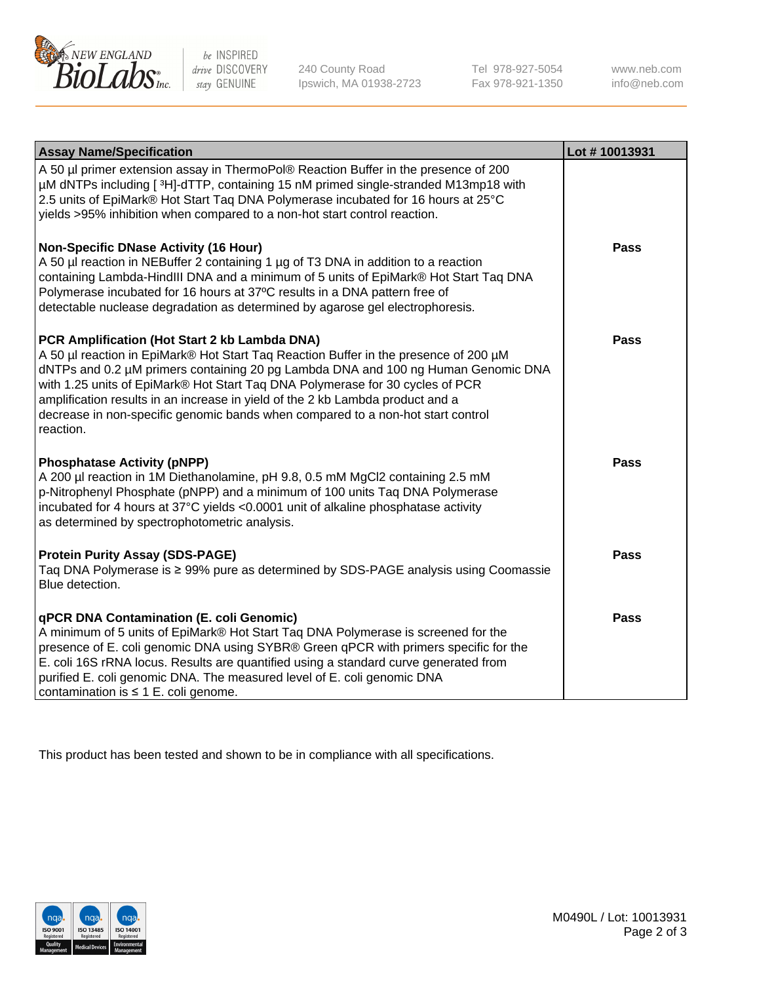

 $be$  INSPIRED drive DISCOVERY stay GENUINE

240 County Road Ipswich, MA 01938-2723 Tel 978-927-5054 Fax 978-921-1350 www.neb.com info@neb.com

| <b>Assay Name/Specification</b>                                                                                                                                                                                                                                                                                                                                                                                                                                                               | Lot #10013931 |
|-----------------------------------------------------------------------------------------------------------------------------------------------------------------------------------------------------------------------------------------------------------------------------------------------------------------------------------------------------------------------------------------------------------------------------------------------------------------------------------------------|---------------|
| A 50 µl primer extension assay in ThermoPol® Reaction Buffer in the presence of 200<br>µM dNTPs including [ <sup>3</sup> H]-dTTP, containing 15 nM primed single-stranded M13mp18 with<br>2.5 units of EpiMark® Hot Start Taq DNA Polymerase incubated for 16 hours at 25°C<br>yields >95% inhibition when compared to a non-hot start control reaction.                                                                                                                                      |               |
| <b>Non-Specific DNase Activity (16 Hour)</b><br>A 50 µl reaction in NEBuffer 2 containing 1 µg of T3 DNA in addition to a reaction<br>containing Lambda-HindIII DNA and a minimum of 5 units of EpiMark® Hot Start Taq DNA<br>Polymerase incubated for 16 hours at 37°C results in a DNA pattern free of<br>detectable nuclease degradation as determined by agarose gel electrophoresis.                                                                                                     | <b>Pass</b>   |
| PCR Amplification (Hot Start 2 kb Lambda DNA)<br>A 50 µl reaction in EpiMark® Hot Start Taq Reaction Buffer in the presence of 200 µM<br>dNTPs and 0.2 µM primers containing 20 pg Lambda DNA and 100 ng Human Genomic DNA<br>with 1.25 units of EpiMark® Hot Start Taq DNA Polymerase for 30 cycles of PCR<br>amplification results in an increase in yield of the 2 kb Lambda product and a<br>decrease in non-specific genomic bands when compared to a non-hot start control<br>reaction. | <b>Pass</b>   |
| <b>Phosphatase Activity (pNPP)</b><br>A 200 µl reaction in 1M Diethanolamine, pH 9.8, 0.5 mM MgCl2 containing 2.5 mM<br>p-Nitrophenyl Phosphate (pNPP) and a minimum of 100 units Taq DNA Polymerase<br>incubated for 4 hours at 37°C yields <0.0001 unit of alkaline phosphatase activity<br>as determined by spectrophotometric analysis.                                                                                                                                                   | Pass          |
| <b>Protein Purity Assay (SDS-PAGE)</b><br>Taq DNA Polymerase is ≥ 99% pure as determined by SDS-PAGE analysis using Coomassie<br>Blue detection.                                                                                                                                                                                                                                                                                                                                              | <b>Pass</b>   |
| qPCR DNA Contamination (E. coli Genomic)<br>A minimum of 5 units of EpiMark® Hot Start Taq DNA Polymerase is screened for the<br>presence of E. coli genomic DNA using SYBR® Green qPCR with primers specific for the<br>E. coli 16S rRNA locus. Results are quantified using a standard curve generated from<br>purified E. coli genomic DNA. The measured level of E. coli genomic DNA<br>contamination is $\leq 1$ E. coli genome.                                                         | <b>Pass</b>   |

This product has been tested and shown to be in compliance with all specifications.